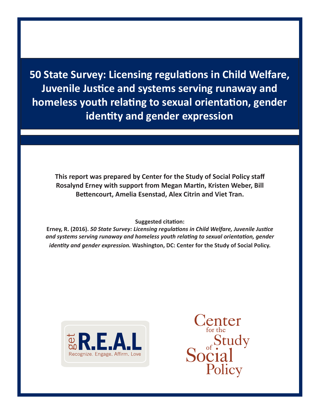**50 State Survey: Licensing regulations in Child Welfare, Juvenile Justice and systems serving runaway and homeless youth relating to sexual orientation, gender identity and gender expression**

**This report was prepared by Center for the Study of Social Policy staff Rosalynd Erney with support from Megan Martin, Kristen Weber, Bill Bettencourt, Amelia Esenstad, Alex Citrin and Viet Tran.** 

#### **Suggested citation:**

**Erney, R. (2016).** *50 State Survey: Licensing regulations in Child Welfare, Juvenile Justice and systems serving runaway and homeless youth relating to sexual orientation, gender identity and gender expression.* **Washington, DC: Center for the Study of Social Policy.**



 $\operatorname{Center}_{\text{for the}}$ Social<br>Social Policy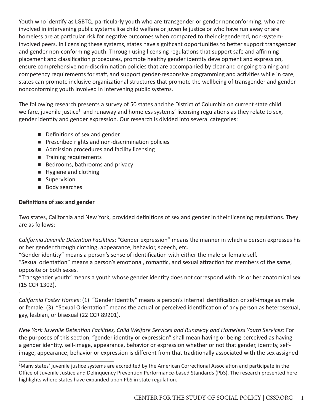Youth who identify as LGBTQ, particularly youth who are transgender or gender nonconforming, who are involved in intervening public systems like child welfare or juvenile justice or who have run away or are homeless are at particular risk for negative outcomes when compared to their cisgendered, non-systeminvolved peers. In licensing these systems, states have significant opportunities to better support transgender and gender non-conforming youth. Through using licensing regulations that support safe and affirming placement and classification procedures, promote healthy gender identity development and expression, ensure comprehensive non-discrimination policies that are accompanied by clear and ongoing training and competency requirements for staff, and support gender-responsive programming and activities while in care, states can promote inclusive organizational structures that promote the wellbeing of transgender and gender nonconforming youth involved in intervening public systems.

The following research presents a survey of 50 states and the District of Columbia on current state child welfare, juvenile justice<sup>1</sup> and runaway and homeless systems' licensing regulations as they relate to sex, gender identity and gender expression. Our research is divided into several categories:

- Definitions of sex and gender
- **Prescribed rights and non-discrimination policies**
- Admission procedures and facility licensing
- **Training requirements**
- Bedrooms, bathrooms and privacy
- **Hygiene and clothing**
- **Supervision**
- **Body searches**

# **Definitions of sex and gender**

Two states, California and New York, provided definitions of sex and gender in their licensing regulations. They are as follows:

*California Juvenile Detention Facilities*: "Gender expression" means the manner in which a person expresses his or her gender through clothing, appearance, behavior, speech, etc.

"Gender identity" means a person's sense of identification with either the male or female self.

"Sexual orientation" means a person's emotional, romantic, and sexual attraction for members of the same, opposite or both sexes.

"Transgender youth" means a youth whose gender identity does not correspond with his or her anatomical sex (15 CCR 1302).

- *California Foster Homes*: (1) "Gender Identity" means a person's internal identification or self-image as male or female. (3) "Sexual Orientation" means the actual or perceived identification of any person as heterosexual, gay, lesbian, or bisexual (22 CCR 89201).

*New York Juvenile Detention Facilities, Child Welfare Services and Runaway and Homeless Youth Services*: For the purposes of this section, "gender identity or expression" shall mean having or being perceived as having a gender identity, self-image, appearance, behavior or expression whether or not that gender, identity, selfimage, appearance, behavior or expression is different from that traditionally associated with the sex assigned

 $\_$ <sup>1</sup>Many states' juvenile justice systems are accredited by the American Correctional Association and participate in the Office of Juvenile Justice and Delinquency Prevention Performance-based Standards (PbS). The research presented here highlights where states have expanded upon PbS in state regulation.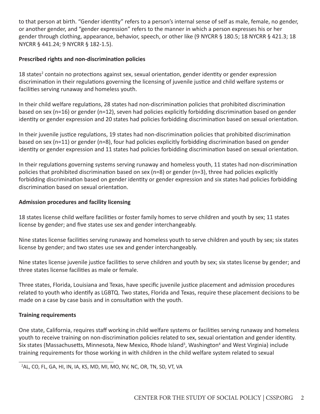to that person at birth. "Gender identity" refers to a person's internal sense of self as male, female, no gender, or another gender, and "gender expression" refers to the manner in which a person expresses his or her gender through clothing, appearance, behavior, speech, or other like (9 NYCRR § 180.5; 18 NYCRR § 421.3; 18 NYCRR § 441.24; 9 NYCRR § 182-1.5).

# **Prescribed rights and non-discrimination policies**

18 states<sup>2</sup> contain no protections against sex, sexual orientation, gender identity or gender expression discrimination in their regulations governing the licensing of juvenile justice and child welfare systems or facilities serving runaway and homeless youth.

In their child welfare regulations, 28 states had non-discrimination policies that prohibited discrimination based on sex (n=16) or gender (n=12), seven had policies explicitly forbidding discrimination based on gender identity or gender expression and 20 states had policies forbidding discrimination based on sexual orientation.

In their juvenile justice regulations, 19 states had non-discrimination policies that prohibited discrimination based on sex (n=11) or gender (n=8), four had policies explicitly forbidding discrimination based on gender identity or gender expression and 11 states had policies forbidding discrimination based on sexual orientation.

In their regulations governing systems serving runaway and homeless youth, 11 states had non-discrimination policies that prohibited discrimination based on sex (n=8) or gender (n=3), three had policies explicitly forbidding discrimination based on gender identity or gender expression and six states had policies forbidding discrimination based on sexual orientation.

# **Admission procedures and facility licensing**

18 states license child welfare facilities or foster family homes to serve children and youth by sex; 11 states license by gender; and five states use sex and gender interchangeably.

Nine states license facilities serving runaway and homeless youth to serve children and youth by sex; six states license by gender; and two states use sex and gender interchangeably.

Nine states license juvenile justice facilities to serve children and youth by sex; six states license by gender; and three states license facilities as male or female.

Three states, Florida, Louisiana and Texas, have specific juvenile justice placement and admission procedures related to youth who identify as LGBTQ. Two states, Florida and Texas, require these placement decisions to be made on a case by case basis and in consultation with the youth.

# **Training requirements**

One state, California, requires staff working in child welfare systems or facilities serving runaway and homeless youth to receive training on non-discrimination policies related to sex, sexual orientation and gender identity. Six states (Massachusetts, Minnesota, New Mexico, Rhode Island<sup>3</sup>, Washington<sup>4</sup> and West Virginia) include training requirements for those working in with children in the child welfare system related to sexual

 $\_$ <sup>2</sup>AL, CO, FL, GA, HI, IN, IA, KS, MD, MI, MO, NV, NC, OR, TN, SD, VT, VA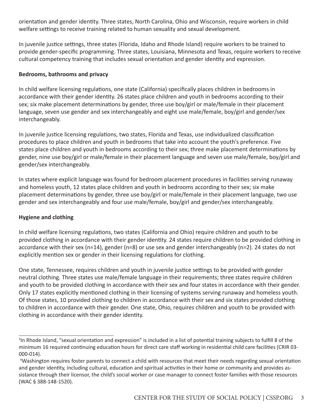orientation and gender identity. Three states, North Carolina, Ohio and Wisconsin, require workers in child welfare settings to receive training related to human sexuality and sexual development.

In juvenile justice settings, three states (Florida, Idaho and Rhode Island) require workers to be trained to provide gender-specific programming. Three states, Louisiana, Minnesota and Texas, require workers to receive cultural competency training that includes sexual orientation and gender identity and expression.

### **Bedrooms, bathrooms and privacy**

In child welfare licensing regulations, one state (California) specifically places children in bedrooms in accordance with their gender identity. 26 states place children and youth in bedrooms according to their sex; six make placement determinations by gender, three use boy/girl or male/female in their placement language, seven use gender and sex interchangeably and eight use male/female, boy/girl and gender/sex interchangeably.

In juvenile justice licensing regulations, two states, Florida and Texas, use individualized classification procedures to place children and youth in bedrooms that take into account the youth's preference. Five states place children and youth in bedrooms according to their sex; three make placement determinations by gender, nine use boy/girl or male/female in their placement language and seven use male/female, boy/girl and gender/sex interchangeably.

In states where explicit language was found for bedroom placement procedures in facilities serving runaway and homeless youth, 12 states place children and youth in bedrooms according to their sex; six make placement determinations by gender, three use boy/girl or male/female in their placement language, two use gender and sex interchangeably and four use male/female, boy/girl and gender/sex interchangeably.

# **Hygiene and clothing**

In child welfare licensing regulations, two states (California and Ohio) require children and youth to be provided clothing in accordance with their gender identity. 24 states require children to be provided clothing in accordance with their sex (n=14), gender (n=8) or use sex and gender interchangeably (n=2). 24 states do not explicitly mention sex or gender in their licensing regulations for clothing.

One state, Tennessee, requires children and youth in juvenile justice settings to be provided with gender neutral clothing. Three states use male/female language in their requirements; three states require children and youth to be provided clothing in accordance with their sex and four states in accordance with their gender. Only 17 states explicitly mentioned clothing in their licensing of systems serving runaway and homeless youth. Of those states, 10 provided clothing to children in accordance with their sex and six states provided clothing to children in accordance with their gender. One state, Ohio, requires children and youth to be provided with clothing in accordance with their gender identity.

 $\_$ <sup>3</sup>In Rhode Island, "sexual orientation and expression" is included in a list of potential training subjects to fulfill 8 of the minimum 16 required continuing education hours for direct care staff working in residential child care facilities (CRIR 03- 000-014).

<sup>4</sup> Washington requires foster parents to connect a child with resources that meet their needs regarding sexual orientation and gender identity, including cultural, education and spiritual activities in their home or community and provides assistance through their licensor, the child's social worker or case manager to connect foster families with those resources (WAC § 388-148-1520).